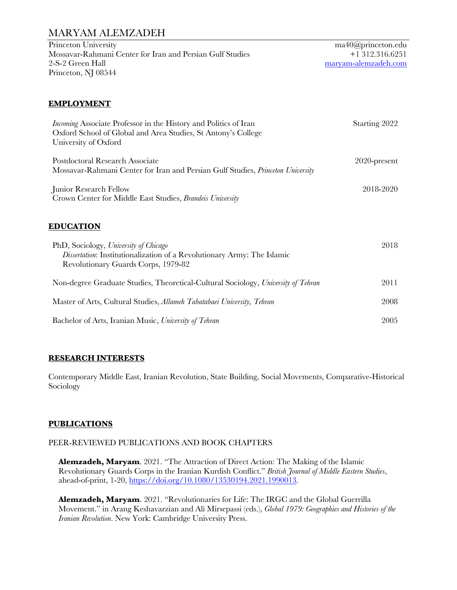Princeton University Mossavar-Rahmani Center for Iran and Persian Gulf Studies 2-S-2 Green Hall Princeton, NJ 08544

ma40@princeton.edu +1 312.316.6251 maryam-alemzadeh.com

### **EMPLOYMENT**

| <i>Incoming</i> Associate Professor in the History and Politics of Iran<br>Oxford School of Global and Area Studies, St Antony's College<br>University of Oxford | Starting 2022   |
|------------------------------------------------------------------------------------------------------------------------------------------------------------------|-----------------|
| Postdoctoral Research Associate<br>Mossavar-Rahmani Center for Iran and Persian Gulf Studies, Princeton University                                               | $2020$ -present |
| Junior Research Fellow<br>Crown Center for Middle East Studies, Brandeis University                                                                              | 2018-2020       |
| <b>EDUCATION</b>                                                                                                                                                 |                 |
| PhD, Sociology, University of Chicago<br>Dissertation: Institutionalization of a Revolutionary Army: The Islamic<br>Revolutionary Guards Corps, 1979-82          | 2018            |
| Non-degree Graduate Studies, Theoretical-Cultural Sociology, University of Tehran                                                                                | 2011            |
| Master of Arts, Cultural Studies, Allameh Tabatabaei University, Tehran                                                                                          | 2008            |
| Bachelor of Arts, Iranian Music, University of Tehran                                                                                                            | 2005            |

### **RESEARCH INTERESTS**

Contemporary Middle East, Iranian Revolution, State Building, Social Movements, Comparative-Historical Sociology

### **PUBLICATIONS**

### PEER-REVIEWED PUBLICATIONS AND BOOK CHAPTERS

**Alemzadeh, Maryam**. 2021. "The Attraction of Direct Action: The Making of the Islamic Revolutionary Guards Corps in the Iranian Kurdish Conflict." *British Journal of Middle Eastern Studies*, ahead-of-print, 1-20, https://doi.org/10.1080/13530194.2021.1990013.

**Alemzadeh, Maryam**. 2021. "Revolutionaries for Life: The IRGC and the Global Guerrilla Movement." in Arang Keshavarzian and Ali Mirsepassi (eds.), *Global 1979: Geographies and Histories of the Iranian Revolution*. New York: Cambridge University Press.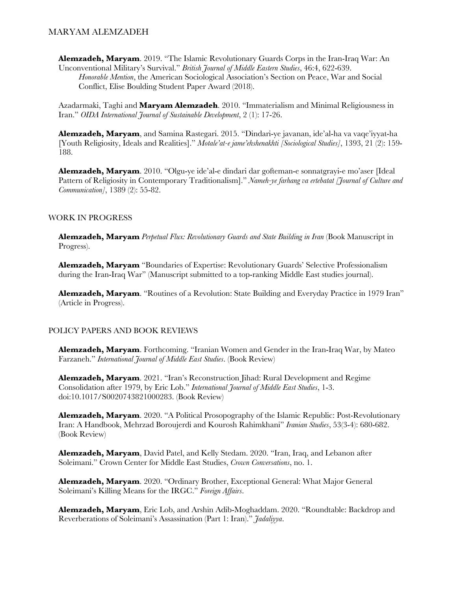**Alemzadeh, Maryam**. 2019. "The Islamic Revolutionary Guards Corps in the Iran-Iraq War: An Unconventional Military's Survival." *British Journal of Middle Eastern Studies*, 46:4, 622-639. *Honorable Mention*, the American Sociological Association's Section on Peace, War and Social Conflict, Elise Boulding Student Paper Award (2018).

Azadarmaki, Taghi and **Maryam Alemzadeh**. 2010. "Immaterialism and Minimal Religiousness in Iran." *OIDA International Journal of Sustainable Development*, 2 (1): 17-26.

**Alemzadeh, Maryam**, and Samina Rastegari. 2015. "Dindari-ye javanan, ide'al-ha va vaqe'iyyat-ha [Youth Religiosity, Ideals and Realities]." *Motale'at-e jame'ehshenakhti [Sociological Studies]*, 1393, 21 (2): 159- 188.

**Alemzadeh, Maryam**. 2010. "Olgu-ye ide'al-e dindari dar gofteman-e sonnatgrayi-e mo'aser [Ideal Pattern of Religiosity in Contemporary Traditionalism]." *Nameh-ye farhang va ertebatat [Journal of Culture and Communication]*, 1389 (2): 55-82.

#### WORK IN PROGRESS

**Alemzadeh, Maryam** *Perpetual Flux: Revolutionary Guards and State Building in Iran* (Book Manuscript in Progress).

**Alemzadeh, Maryam** "Boundaries of Expertise: Revolutionary Guards' Selective Professionalism during the Iran-Iraq War" (Manuscript submitted to a top-ranking Middle East studies journal).

**Alemzadeh, Maryam**. "Routines of a Revolution: State Building and Everyday Practice in 1979 Iran" (Article in Progress).

#### POLICY PAPERS AND BOOK REVIEWS

**Alemzadeh, Maryam**. Forthcoming. "Iranian Women and Gender in the Iran-Iraq War, by Mateo Farzaneh." *International Journal of Middle East Studies*. (Book Review)

**Alemzadeh, Maryam**. 2021. "Iran's Reconstruction Jihad: Rural Development and Regime Consolidation after 1979, by Eric Lob." *International Journal of Middle East Studies*, 1-3. doi:10.1017/S0020743821000283. (Book Review)

**Alemzadeh, Maryam**. 2020. "A Political Prosopography of the Islamic Republic: Post-Revolutionary Iran: A Handbook, Mehrzad Boroujerdi and Kourosh Rahimkhani" *Iranian Studies*, 53(3-4): 680-682. (Book Review)

**Alemzadeh, Maryam**, David Patel, and Kelly Stedam. 2020. "Iran, Iraq, and Lebanon after Soleimani." Crown Center for Middle East Studies, *Crown Conversations*, no. 1.

**Alemzadeh, Maryam**. 2020. "Ordinary Brother, Exceptional General: What Major General Soleimani's Killing Means for the IRGC." *Foreign Affairs*.

**Alemzadeh, Maryam**, Eric Lob, and Arshin Adib-Moghaddam. 2020. "Roundtable: Backdrop and Reverberations of Soleimani's Assassination (Part 1: Iran)." *Jadaliyya*.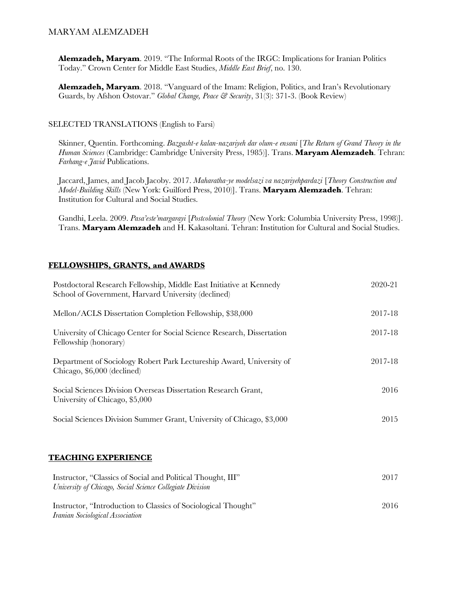**Alemzadeh, Maryam**. 2019. "The Informal Roots of the IRGC: Implications for Iranian Politics Today." Crown Center for Middle East Studies, *Middle East Brief*, no. 130.

**Alemzadeh, Maryam**. 2018. "Vanguard of the Imam: Religion, Politics, and Iran's Revolutionary Guards, by Afshon Ostovar." *Global Change, Peace & Security*, 31(3): 371-3. (Book Review)

#### SELECTED TRANSLATIONS (English to Farsi)

Skinner, Quentin. Forthcoming. *Bazgasht-e kalan-nazariyeh dar olum-e ensani* [*The Return of Grand Theory in the Human Sciences* (Cambridge: Cambridge University Press, 1985)]. Trans. **Maryam Alemzadeh**. Tehran: *Farhang-e Javid* Publications.

Jaccard, James, and Jacob Jacoby. 2017. *Maharatha-ye modelsazi va nazariyehpardazi* [*Theory Construction and Model-Building Skills* (New York: Guilford Press, 2010)]. Trans. **Maryam Alemzadeh**. Tehran: Institution for Cultural and Social Studies.

Gandhi, Leela. 2009. *Pasa'este'margarayi* [*Postcolonial Theory* (New York: Columbia University Press, 1998)]. Trans. **Maryam Alemzadeh** and H. Kakasoltani. Tehran: Institution for Cultural and Social Studies.

### **FELLOWSHIPS, GRANTS, and AWARDS**

| Postdoctoral Research Fellowship, Middle East Initiative at Kennedy<br>School of Government, Harvard University (declined) | 2020-21 |
|----------------------------------------------------------------------------------------------------------------------------|---------|
| Mellon/ACLS Dissertation Completion Fellowship, \$38,000                                                                   | 2017-18 |
| University of Chicago Center for Social Science Research, Dissertation<br>Fellowship (honorary)                            | 2017-18 |
| Department of Sociology Robert Park Lectureship Award, University of<br>Chicago, \$6,000 (declined)                        | 2017-18 |
| Social Sciences Division Overseas Dissertation Research Grant,<br>University of Chicago, \$5,000                           | 2016    |
| Social Sciences Division Summer Grant, University of Chicago, \$3,000                                                      | 2015    |
| <b>TEACHING EXPERIENCE</b>                                                                                                 |         |
| Instructor, "Classics of Social and Political Thought, III"<br>University of Chicago, Social Science Collegiate Division   | 2017    |
| Instructor, "Introduction to Classics of Sociological Thought"<br>Iranian Sociological Association                         | 2016    |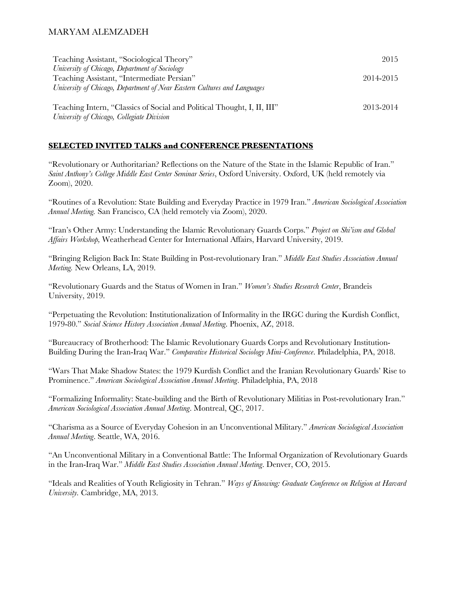| Teaching Assistant, "Sociological Theory"                                | 2015      |
|--------------------------------------------------------------------------|-----------|
| University of Chicago, Department of Sociology                           |           |
| Teaching Assistant, "Intermediate Persian"                               | 2014-2015 |
| University of Chicago, Department of Near Eastern Cultures and Languages |           |
|                                                                          |           |
| Teaching Intern, "Classics of Social and Political Thought, I, II, III"  | 2013-2014 |
| University of Chicago, Collegiate Division                               |           |

### **SELECTED INVITED TALKS and CONFERENCE PRESENTATIONS**

"Revolutionary or Authoritarian? Reflections on the Nature of the State in the Islamic Republic of Iran." *Saint Anthony's College Middle East Center Seminar Series*, Oxford University. Oxford, UK (held remotely via Zoom), 2020.

"Routines of a Revolution: State Building and Everyday Practice in 1979 Iran." *American Sociological Association Annual Meeting.* San Francisco, CA (held remotely via Zoom), 2020.

"Iran's Other Army: Understanding the Islamic Revolutionary Guards Corps." *Project on Shi'ism and Global Affairs Workshop,* Weatherhead Center for International Affairs, Harvard University, 2019.

"Bringing Religion Back In: State Building in Post-revolutionary Iran." *Middle East Studies Association Annual Meeting.* New Orleans, LA, 2019.

"Revolutionary Guards and the Status of Women in Iran." *Women's Studies Research Center*, Brandeis University, 2019.

"Perpetuating the Revolution: Institutionalization of Informality in the IRGC during the Kurdish Conflict, 1979-80." *Social Science History Association Annual Meeting*. Phoenix, AZ, 2018.

"Bureaucracy of Brotherhood: The Islamic Revolutionary Guards Corps and Revolutionary Institution-Building During the Iran-Iraq War." *Comparative Historical Sociology Mini-Conference*. Philadelphia, PA, 2018.

"Wars That Make Shadow States: the 1979 Kurdish Conflict and the Iranian Revolutionary Guards' Rise to Prominence." *American Sociological Association Annual Meeting*. Philadelphia, PA, 2018

"Formalizing Informality: State-building and the Birth of Revolutionary Militias in Post-revolutionary Iran." *American Sociological Association Annual Meeting*. Montreal, QC, 2017.

"Charisma as a Source of Everyday Cohesion in an Unconventional Military." *American Sociological Association Annual Meeting*. Seattle, WA, 2016.

"An Unconventional Military in a Conventional Battle: The Informal Organization of Revolutionary Guards in the Iran-Iraq War." *Middle East Studies Association Annual Meeting*. Denver, CO, 2015.

"Ideals and Realities of Youth Religiosity in Tehran." *Ways of Knowing: Graduate Conference on Religion at Harvard University.* Cambridge, MA, 2013.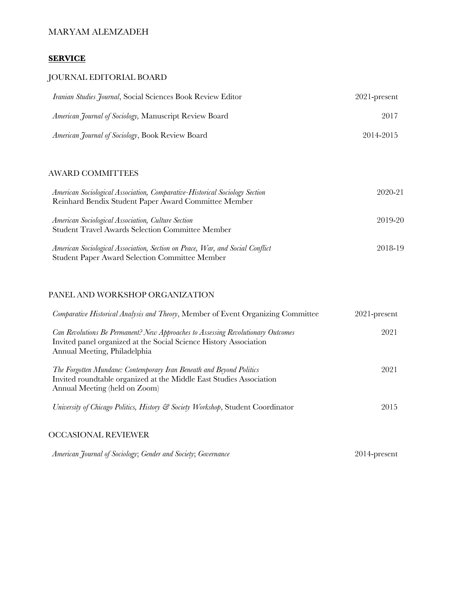### **SERVICE**

### JOURNAL EDITORIAL BOARD

| Iranian Studies Journal, Social Sciences Book Review Editor    | $2021$ -present |
|----------------------------------------------------------------|-----------------|
| <i>American Journal of Sociology</i> , Manuscript Review Board | 2017            |
| <i>American Journal of Sociology</i> , Book Review Board       | 2014-2015       |

## AWARD COMMITTEES

| American Sociological Association, Comparative-Historical Sociology Section   | 2020-21 |
|-------------------------------------------------------------------------------|---------|
| Reinhard Bendix Student Paper Award Committee Member                          |         |
|                                                                               |         |
| American Sociological Association, Culture Section                            | 2019-20 |
| <b>Student Travel Awards Selection Committee Member</b>                       |         |
|                                                                               |         |
| American Sociological Association, Section on Peace, War, and Social Conflict | 2018-19 |
| <b>Student Paper Award Selection Committee Member</b>                         |         |

### PANEL AND WORKSHOP ORGANIZATION

| Comparative Historical Analysis and Theory, Member of Event Organizing Committee                                                                                                      | $2021$ -present |
|---------------------------------------------------------------------------------------------------------------------------------------------------------------------------------------|-----------------|
| Can Revolutions Be Permanent? New Approaches to Assessing Revolutionary Outcomes<br>Invited panel organized at the Social Science History Association<br>Annual Meeting, Philadelphia | 2021            |
| The Forgotten Mundane: Contemporary Iran Beneath and Beyond Politics<br>Invited roundtable organized at the Middle East Studies Association<br>Annual Meeting (held on Zoom)          | 2021            |
| University of Chicago Politics, History & Society Workshop, Student Coordinator                                                                                                       | 2015            |
| <b>OCCASIONAL REVIEWER</b>                                                                                                                                                            |                 |

|  |  |  | American Journal of Sociology; Gender and Society; Governance | $2014$ -present |
|--|--|--|---------------------------------------------------------------|-----------------|
|--|--|--|---------------------------------------------------------------|-----------------|